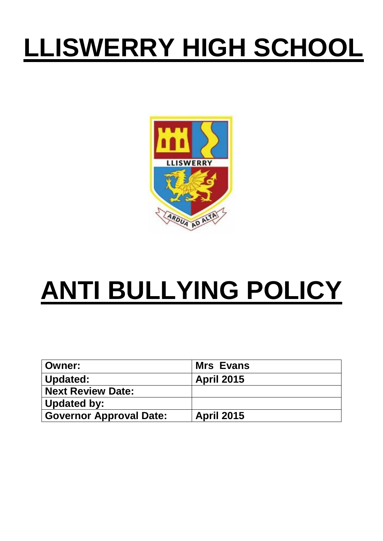# **LLISWERRY HIGH SCHOOL**



# **ANTI BULLYING POLICY**

| <b>Owner:</b>                  | <b>Mrs Evans</b>  |
|--------------------------------|-------------------|
| Updated:                       | <b>April 2015</b> |
| <b>Next Review Date:</b>       |                   |
| Updated by:                    |                   |
| <b>Governor Approval Date:</b> | April 2015        |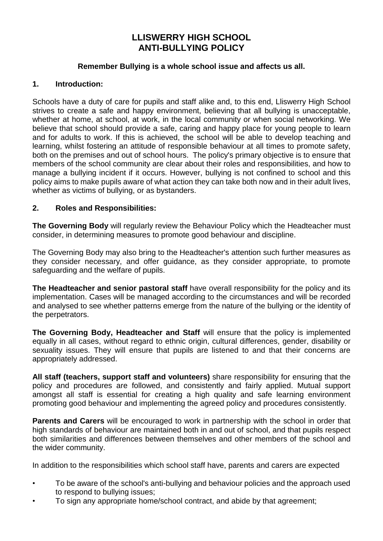## **LLISWERRY HIGH SCHOOL ANTI-BULLYING POLICY**

#### **Remember Bullying is a whole school issue and affects us all.**

#### **1. Introduction:**

Schools have a duty of care for pupils and staff alike and, to this end, Lliswerry High School strives to create a safe and happy environment, believing that all bullying is unacceptable, whether at home, at school, at work, in the local community or when social networking. We believe that school should provide a safe, caring and happy place for young people to learn and for adults to work. If this is achieved, the school will be able to develop teaching and learning, whilst fostering an attitude of responsible behaviour at all times to promote safety, both on the premises and out of school hours. The policy's primary objective is to ensure that members of the school community are clear about their roles and responsibilities, and how to manage a bullying incident if it occurs. However, bullying is not confined to school and this policy aims to make pupils aware of what action they can take both now and in their adult lives, whether as victims of bullying, or as bystanders.

#### **2. Roles and Responsibilities:**

**The Governing Body** will regularly review the Behaviour Policy which the Headteacher must consider, in determining measures to promote good behaviour and discipline.

The Governing Body may also bring to the Headteacher's attention such further measures as they consider necessary, and offer guidance, as they consider appropriate, to promote safeguarding and the welfare of pupils.

**The Headteacher and senior pastoral staff** have overall responsibility for the policy and its implementation. Cases will be managed according to the circumstances and will be recorded and analysed to see whether patterns emerge from the nature of the bullying or the identity of the perpetrators.

**The Governing Body, Headteacher and Staff** will ensure that the policy is implemented equally in all cases, without regard to ethnic origin, cultural differences, gender, disability or sexuality issues. They will ensure that pupils are listened to and that their concerns are appropriately addressed.

**All staff (teachers, support staff and volunteers)** share responsibility for ensuring that the policy and procedures are followed, and consistently and fairly applied. Mutual support amongst all staff is essential for creating a high quality and safe learning environment promoting good behaviour and implementing the agreed policy and procedures consistently.

**Parents and Carers** will be encouraged to work in partnership with the school in order that high standards of behaviour are maintained both in and out of school, and that pupils respect both similarities and differences between themselves and other members of the school and the wider community.

In addition to the responsibilities which school staff have, parents and carers are expected

- To be aware of the school's anti-bullying and behaviour policies and the approach used to respond to bullying issues;
- To sign any appropriate home/school contract, and abide by that agreement;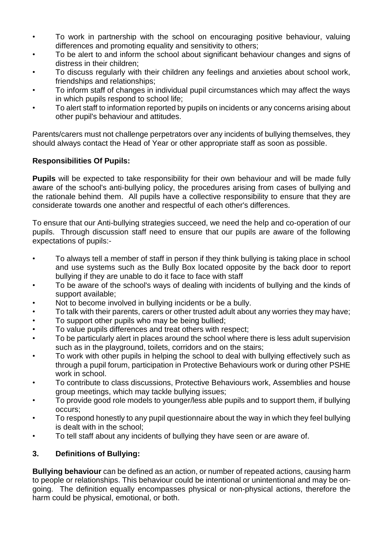- To work in partnership with the school on encouraging positive behaviour, valuing differences and promoting equality and sensitivity to others;
- To be alert to and inform the school about significant behaviour changes and signs of distress in their children;
- To discuss regularly with their children any feelings and anxieties about school work, friendships and relationships;
- To inform staff of changes in individual pupil circumstances which may affect the ways in which pupils respond to school life;
- To alert staff to information reported by pupils on incidents or any concerns arising about other pupil's behaviour and attitudes.

Parents/carers must not challenge perpetrators over any incidents of bullying themselves, they should always contact the Head of Year or other appropriate staff as soon as possible.

## **Responsibilities Of Pupils:**

**Pupils** will be expected to take responsibility for their own behaviour and will be made fully aware of the school's anti-bullying policy, the procedures arising from cases of bullying and the rationale behind them. All pupils have a collective responsibility to ensure that they are considerate towards one another and respectful of each other's differences.

To ensure that our Anti-bullying strategies succeed, we need the help and co-operation of our pupils. Through discussion staff need to ensure that our pupils are aware of the following expectations of pupils:-

- To always tell a member of staff in person if they think bullying is taking place in school and use systems such as the Bully Box located opposite by the back door to report bullying if they are unable to do it face to face with staff
- To be aware of the school's ways of dealing with incidents of bullying and the kinds of support available;
- Not to become involved in bullying incidents or be a bully.
- To talk with their parents, carers or other trusted adult about any worries they may have;
- To support other pupils who may be being bullied:
- To value pupils differences and treat others with respect;
- To be particularly alert in places around the school where there is less adult supervision such as in the playground, toilets, corridors and on the stairs;
- To work with other pupils in helping the school to deal with bullying effectively such as through a pupil forum, participation in Protective Behaviours work or during other PSHE work in school.
- To contribute to class discussions, Protective Behaviours work, Assemblies and house group meetings, which may tackle bullying issues;
- To provide good role models to younger/less able pupils and to support them, if bullying occurs;
- To respond honestly to any pupil questionnaire about the way in which they feel bullying is dealt with in the school;
- To tell staff about any incidents of bullying they have seen or are aware of.

## **3. Definitions of Bullying:**

**Bullying behaviour** can be defined as an action, or number of repeated actions, causing harm to people or relationships. This behaviour could be intentional or unintentional and may be ongoing. The definition equally encompasses physical or non-physical actions, therefore the harm could be physical, emotional, or both.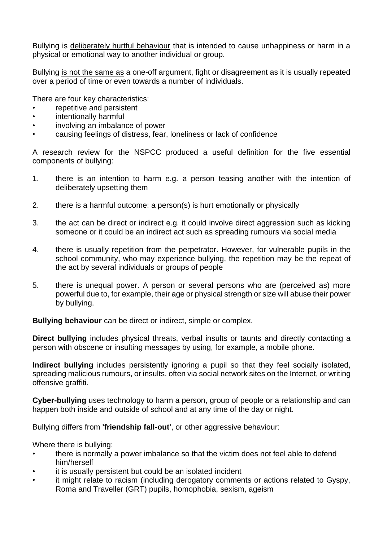Bullying is deliberately hurtful behaviour that is intended to cause unhappiness or harm in a physical or emotional way to another individual or group.

Bullying is not the same as a one-off argument, fight or disagreement as it is usually repeated over a period of time or even towards a number of individuals.

There are four key characteristics:

- repetitive and persistent
- intentionally harmful
- involving an imbalance of power
- causing feelings of distress, fear, loneliness or lack of confidence

A research review for the NSPCC produced a useful definition for the five essential components of bullying:

- 1. there is an intention to harm e.g. a person teasing another with the intention of deliberately upsetting them
- 2. there is a harmful outcome: a person(s) is hurt emotionally or physically
- 3. the act can be direct or indirect e.g. it could involve direct aggression such as kicking someone or it could be an indirect act such as spreading rumours via social media
- 4. there is usually repetition from the perpetrator. However, for vulnerable pupils in the school community, who may experience bullying, the repetition may be the repeat of the act by several individuals or groups of people
- 5. there is unequal power. A person or several persons who are (perceived as) more powerful due to, for example, their age or physical strength or size will abuse their power by bullying.

**Bullying behaviour** can be direct or indirect, simple or complex.

**Direct bullying** includes physical threats, verbal insults or taunts and directly contacting a person with obscene or insulting messages by using, for example, a mobile phone.

**Indirect bullying** includes persistently ignoring a pupil so that they feel socially isolated, spreading malicious rumours, or insults, often via social network sites on the Internet, or writing offensive graffiti.

**Cyber-bullying** uses technology to harm a person, group of people or a relationship and can happen both inside and outside of school and at any time of the day or night.

Bullying differs from **'friendship fall-out'**, or other aggressive behaviour:

Where there is bullying:

- there is normally a power imbalance so that the victim does not feel able to defend him/herself
- it is usually persistent but could be an isolated incident
- it might relate to racism (including derogatory comments or actions related to Gyspy, Roma and Traveller (GRT) pupils, homophobia, sexism, ageism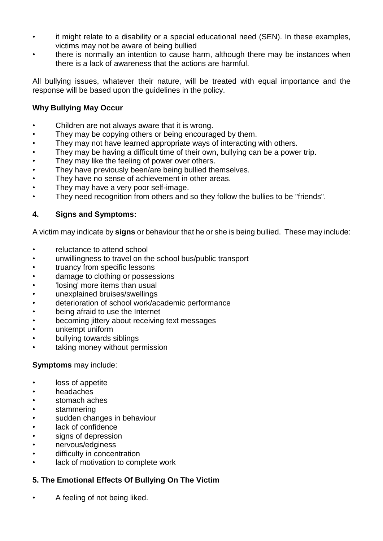- it might relate to a disability or a special educational need (SEN). In these examples, victims may not be aware of being bullied
- there is normally an intention to cause harm, although there may be instances when there is a lack of awareness that the actions are harmful.

All bullying issues, whatever their nature, will be treated with equal importance and the response will be based upon the guidelines in the policy.

## **Why Bullying May Occur**

- Children are not always aware that it is wrong.
- They may be copying others or being encouraged by them.
- They may not have learned appropriate ways of interacting with others.
- They may be having a difficult time of their own, bullying can be a power trip.
- They may like the feeling of power over others.
- They have previously been/are being bullied themselves.
- They have no sense of achievement in other areas.
- They may have a very poor self-image.
- They need recognition from others and so they follow the bullies to be "friends".

## **4. Signs and Symptoms:**

A victim may indicate by **signs** or behaviour that he or she is being bullied. These may include:

- reluctance to attend school
- unwillingness to travel on the school bus/public transport
- truancy from specific lessons
- damage to clothing or possessions
- 'losing' more items than usual
- unexplained bruises/swellings
- deterioration of school work/academic performance
- being afraid to use the Internet
- becoming jittery about receiving text messages
- unkempt uniform
- bullying towards siblings
- taking money without permission

## **Symptoms** may include:

- loss of appetite
- headaches
- stomach aches
- stammering
- sudden changes in behaviour
- lack of confidence
- signs of depression
- nervous/edginess
- difficulty in concentration
- lack of motivation to complete work

## **5. The Emotional Effects Of Bullying On The Victim**

• A feeling of not being liked.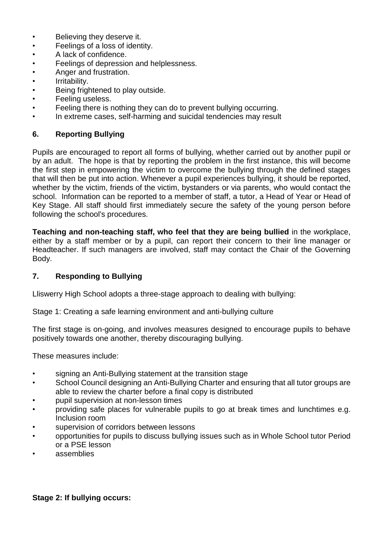- Believing they deserve it.
- Feelings of a loss of identity.
- A lack of confidence.
- Feelings of depression and helplessness.
- Anger and frustration.
- Irritability.
- Being frightened to play outside.
- Feeling useless.
- Feeling there is nothing they can do to prevent bullying occurring.
- In extreme cases, self-harming and suicidal tendencies may result

#### **6. Reporting Bullying**

Pupils are encouraged to report all forms of bullying, whether carried out by another pupil or by an adult. The hope is that by reporting the problem in the first instance, this will become the first step in empowering the victim to overcome the bullying through the defined stages that will then be put into action. Whenever a pupil experiences bullying, it should be reported, whether by the victim, friends of the victim, bystanders or via parents, who would contact the school. Information can be reported to a member of staff, a tutor, a Head of Year or Head of Key Stage. All staff should first immediately secure the safety of the young person before following the school's procedures.

**Teaching and non-teaching staff, who feel that they are being bullied** in the workplace, either by a staff member or by a pupil, can report their concern to their line manager or Headteacher. If such managers are involved, staff may contact the Chair of the Governing Body.

#### **7. Responding to Bullying**

Lliswerry High School adopts a three-stage approach to dealing with bullying:

Stage 1: Creating a safe learning environment and anti-bullying culture

The first stage is on-going, and involves measures designed to encourage pupils to behave positively towards one another, thereby discouraging bullying.

These measures include:

- signing an Anti-Bullying statement at the transition stage
- School Council designing an Anti-Bullying Charter and ensuring that all tutor groups are able to review the charter before a final copy is distributed
- pupil supervision at non-lesson times
- providing safe places for vulnerable pupils to go at break times and lunchtimes e.g. Inclusion room
- supervision of corridors between lessons
- opportunities for pupils to discuss bullying issues such as in Whole School tutor Period or a PSE lesson
- assemblies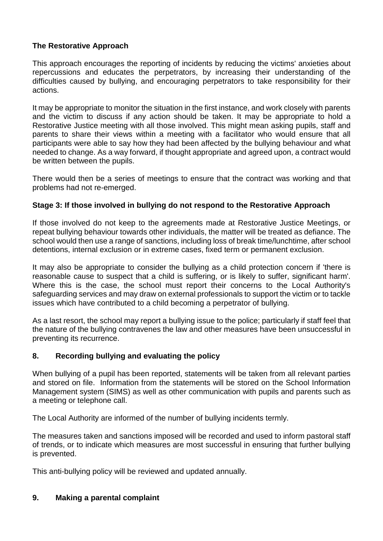## **The Restorative Approach**

This approach encourages the reporting of incidents by reducing the victims' anxieties about repercussions and educates the perpetrators, by increasing their understanding of the difficulties caused by bullying, and encouraging perpetrators to take responsibility for their actions.

It may be appropriate to monitor the situation in the first instance, and work closely with parents and the victim to discuss if any action should be taken. It may be appropriate to hold a Restorative Justice meeting with all those involved. This might mean asking pupils, staff and parents to share their views within a meeting with a facilitator who would ensure that all participants were able to say how they had been affected by the bullying behaviour and what needed to change. As a way forward, if thought appropriate and agreed upon, a contract would be written between the pupils.

There would then be a series of meetings to ensure that the contract was working and that problems had not re-emerged.

## **Stage 3: If those involved in bullying do not respond to the Restorative Approach**

If those involved do not keep to the agreements made at Restorative Justice Meetings, or repeat bullying behaviour towards other individuals, the matter will be treated as defiance. The school would then use a range of sanctions, including loss of break time/lunchtime, after school detentions, internal exclusion or in extreme cases, fixed term or permanent exclusion.

It may also be appropriate to consider the bullying as a child protection concern if 'there is reasonable cause to suspect that a child is suffering, or is likely to suffer, significant harm'. Where this is the case, the school must report their concerns to the Local Authority's safeguarding services and may draw on external professionals to support the victim or to tackle issues which have contributed to a child becoming a perpetrator of bullying.

As a last resort, the school may report a bullying issue to the police; particularly if staff feel that the nature of the bullying contravenes the law and other measures have been unsuccessful in preventing its recurrence.

## **8. Recording bullying and evaluating the policy**

When bullying of a pupil has been reported, statements will be taken from all relevant parties and stored on file. Information from the statements will be stored on the School Information Management system (SIMS) as well as other communication with pupils and parents such as a meeting or telephone call.

The Local Authority are informed of the number of bullying incidents termly.

The measures taken and sanctions imposed will be recorded and used to inform pastoral staff of trends, or to indicate which measures are most successful in ensuring that further bullying is prevented.

This anti-bullying policy will be reviewed and updated annually.

## **9. Making a parental complaint**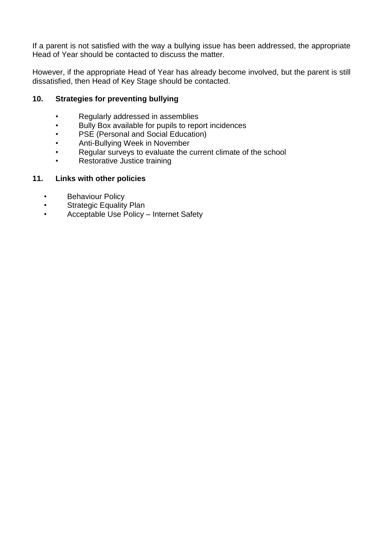If a parent is not satisfied with the way a bullying issue has been addressed, the appropriate Head of Year should be contacted to discuss the matter.

However, if the appropriate Head of Year has already become involved, but the parent is still dissatisfied, then Head of Key Stage should be contacted.

#### **10. Strategies for preventing bullying**

- Regularly addressed in assemblies
- Bully Box available for pupils to report incidences
- PSE (Personal and Social Education)
- Anti-Bullying Week in November
- Regular surveys to evaluate the current climate of the school
- Restorative Justice training

#### **11. Links with other policies**

- Behaviour Policy
- Strategic Equality Plan
- Acceptable Use Policy Internet Safety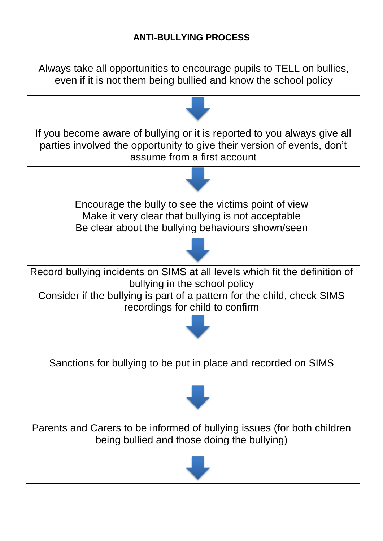Always take all opportunities to encourage pupils to TELL on bullies, even if it is not them being bullied and know the school policy



Sanctions for bullying to be put in place and recorded on SIMS



Parents and Carers to be informed of bullying issues (for both children being bullied and those doing the bullying)